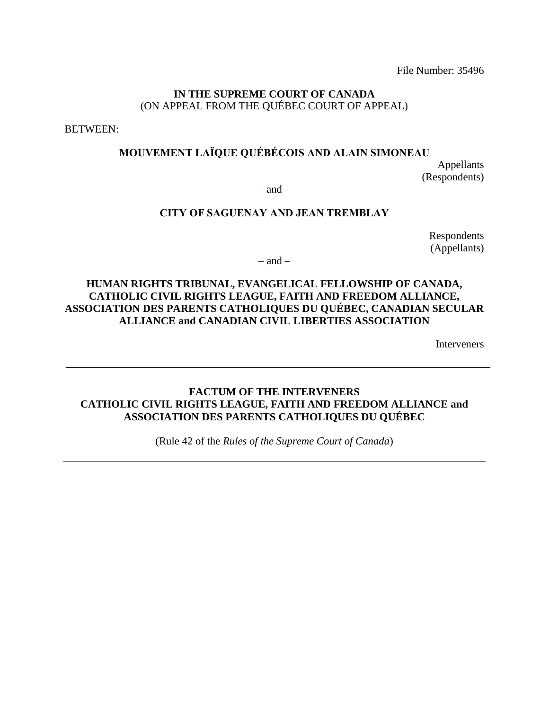### **IN THE SUPREME COURT OF CANADA** (ON APPEAL FROM THE QUÉBEC COURT OF APPEAL)

BETWEEN:

## **MOUVEMENT LAÏQUE QUÉBÉCOIS AND ALAIN SIMONEAU**

Appellants (Respondents)

 $-$  and  $-$ 

## **CITY OF SAGUENAY AND JEAN TREMBLAY**

Respondents (Appellants)

 $-$  and  $-$ 

## **HUMAN RIGHTS TRIBUNAL, EVANGELICAL FELLOWSHIP OF CANADA, CATHOLIC CIVIL RIGHTS LEAGUE, FAITH AND FREEDOM ALLIANCE, ASSOCIATION DES PARENTS CATHOLIQUES DU QUÉBEC, CANADIAN SECULAR ALLIANCE and CANADIAN CIVIL LIBERTIES ASSOCIATION**

Interveners

## **FACTUM OF THE INTERVENERS CATHOLIC CIVIL RIGHTS LEAGUE, FAITH AND FREEDOM ALLIANCE and ASSOCIATION DES PARENTS CATHOLIQUES DU QUÉBEC**

(Rule 42 of the *Rules of the Supreme Court of Canada*)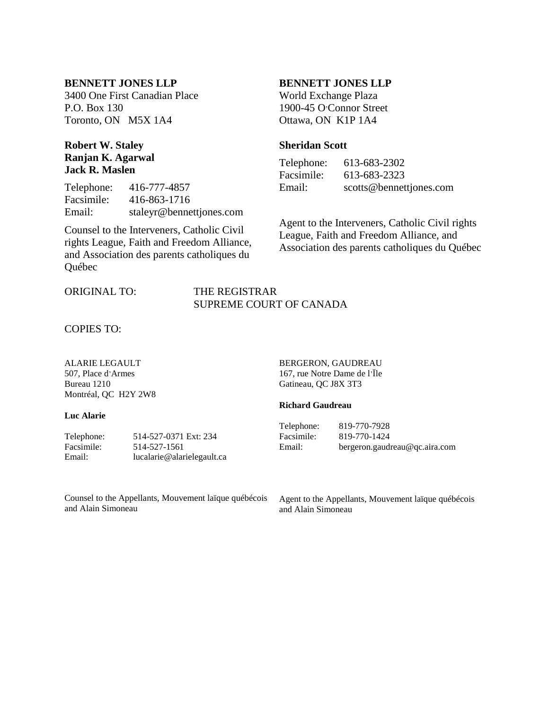#### **BENNETT JONES LLP**

3400 One First Canadian Place P.O. Box 130 Toronto, ON M5X 1A4

### **Robert W. Staley Ranjan K. Agarwal Jack R. Maslen**

Telephone: 416-777-4857 Facsimile: 416-863-1716 Email: staleyr@bennettjones.com

Counsel to the Interveners, Catholic Civil rights League, Faith and Freedom Alliance, and Association des parents catholiques du Québec

#### ORIGINAL TO: THE REGISTRAR

#### **BENNETT JONES LLP**

World Exchange Plaza 1900-45 O'Connor Street Ottawa, ON K1P 1A4

#### **Sheridan Scott**

Telephone: 613-683-2302 Facsimile: 613-683-2323 Email: scotts@bennettjones.com

Agent to the Interveners, Catholic Civil rights League, Faith and Freedom Alliance, and Association des parents catholiques du Québec

# SUPREME COURT OF CANADA

COPIES TO:

ALARIE LEGAULT 507, Place d'Armes Bureau 1210 Montréal, QC H2Y 2W8

#### **Luc Alarie**

Telephone: 514-527-0371 Ext: 234<br>Facsimile: 514-527-1561 Facsimile: 514-527-1561 Email: lucalarie@alarielegault.ca BERGERON, GAUDREAU 167, rue Notre Dame de l'Ïle Gatineau, QC J8X 3T3

#### **Richard Gaudreau**

Telephone: 819-770-7928 Facsimile: 819-770-1424 Email: bergeron.gaudreau@qc.aira.com

Counsel to the Appellants, Mouvement laïque québécois and Alain Simoneau

Agent to the Appellants, Mouvement laïque québécois and Alain Simoneau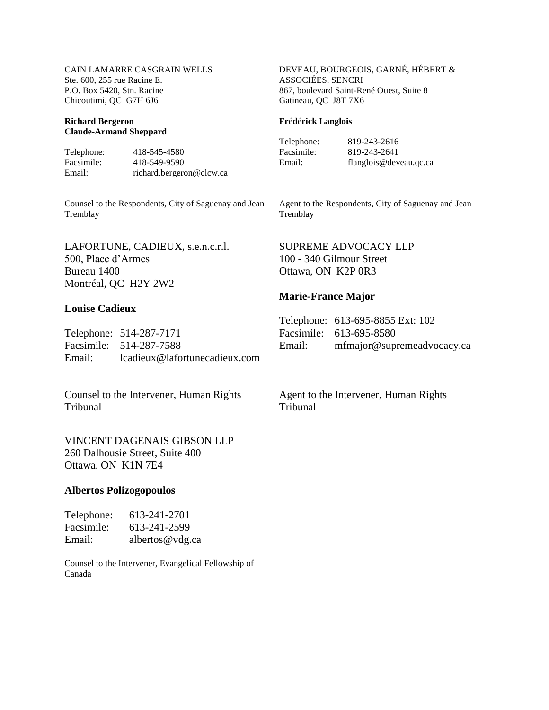#### **Richard Bergeron Claude-Armand Sheppard**

Telephone: 418-545-4580<br>Facsimile: 418-549-9590 Facsimile: 418-549-9590 Email: richard.bergeron@clcw.ca

Counsel to the Respondents, City of Saguenay and Jean Tremblay

LAFORTUNE, CADIEUX, s.e.n.c.r.l. 500, Place d'Armes Bureau 1400 Montréal, QC H2Y 2W2

#### **Louise Cadieux**

Telephone: 514-287-7171 Facsimile: 514-287-7588 Email: lcadieux@lafortunecadieux.com

Counsel to the Intervener, Human Rights Tribunal

VINCENT DAGENAIS GIBSON LLP 260 Dalhousie Street, Suite 400 Ottawa, ON K1N 7E4

#### **Albertos Polizogopoulos**

| Telephone: | 613-241-2701    |
|------------|-----------------|
| Facsimile: | 613-241-2599    |
| Email:     | albertos@vdg.ca |

Counsel to the Intervener, Evangelical Fellowship of Canada

DEVEAU, BOURGEOIS, GARNÉ, HÉBERT & ASSOCIÉES, SENCRI 867, boulevard Saint-René Ouest, Suite 8 Gatineau, QC J8T 7X6

#### **Fr**é**d**é**rick Langlois**

Facsimile: 819-243-2641<br>Email: flanglois@dev

Telephone: 819-243-2616 flanglois@deveau.qc.ca

Agent to the Respondents, City of Saguenay and Jean **Tremblay** 

SUPREME ADVOCACY LLP 100 - 340 Gilmour Street Ottawa, ON K2P 0R3

#### **Marie-France Major**

|        | Telephone: 613-695-8855 Ext: 102 |
|--------|----------------------------------|
|        | Facsimile: 613-695-8580          |
| Email: | mfmajor@supremeadvocacy.ca       |

Agent to the Intervener, Human Rights Tribunal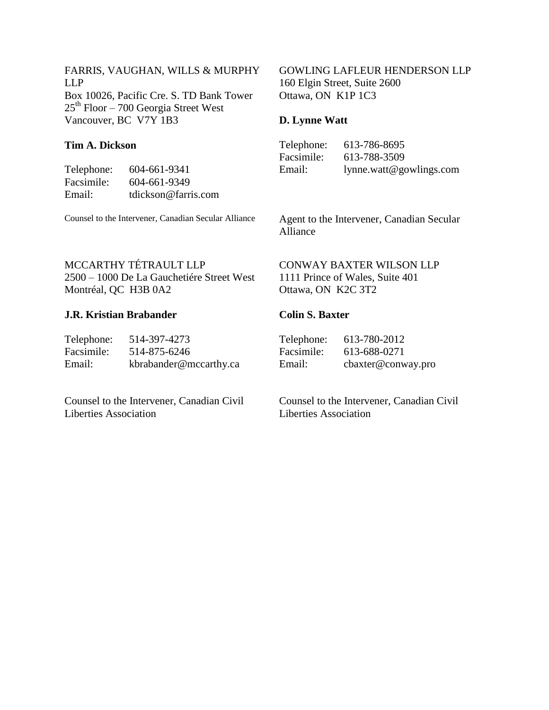FARRIS, VAUGHAN, WILLS & MURPHY LLP Box 10026, Pacific Cre. S. TD Bank Tower  $25<sup>th</sup>$  Floor – 700 Georgia Street West Vancouver, BC V7Y 1B3

### **Tim A. Dickson**

Telephone: 604-661-9341 Facsimile: 604-661-9349<br>Email: tdickson@farri Email: tdickson@farris.com

Counsel to the Intervener, Canadian Secular Alliance

GOWLING LAFLEUR HENDERSON LLP 160 Elgin Street, Suite 2600 Ottawa, ON K1P 1C3

## **D. Lynne Watt**

| Telephone: | 613-786-8695            |
|------------|-------------------------|
| Facsimile: | 613-788-3509            |
| Email:     | lynne.watt@gowlings.com |

Agent to the Intervener, Canadian Secular Alliance

## MCCARTHY TÉTRAULT LLP

2500 – 1000 De La Gauchetiére Street West Montréal, QC H3B 0A2

### **J.R. Kristian Brabander**

| Telephone: | 514-397-4273           |
|------------|------------------------|
| Facsimile: | 514-875-6246           |
| Email:     | kbrabander@mccarthy.ca |

Counsel to the Intervener, Canadian Civil Liberties Association

### CONWAY BAXTER WILSON LLP 1111 Prince of Wales, Suite 401 Ottawa, ON K2C 3T2

#### **Colin S. Baxter**

| Telephone: | 613-780-2012       |
|------------|--------------------|
| Facsimile: | 613-688-0271       |
| Email:     | cbaxter@conway.pro |

Counsel to the Intervener, Canadian Civil Liberties Association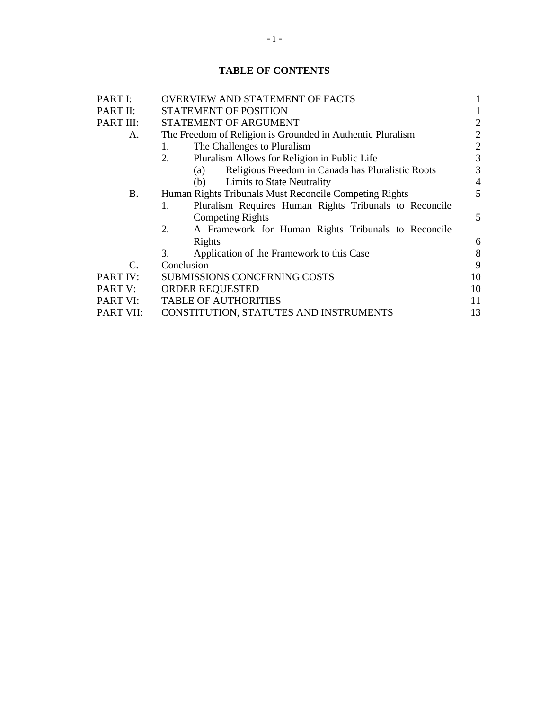## **TABLE OF CONTENTS**

| PART I:          | <b>OVERVIEW AND STATEMENT OF FACTS</b>                       |                |
|------------------|--------------------------------------------------------------|----------------|
| PART II:         | <b>STATEMENT OF POSITION</b>                                 |                |
| PART III:        | STATEMENT OF ARGUMENT                                        | 2              |
| А.               | The Freedom of Religion is Grounded in Authentic Pluralism   | 2              |
|                  | The Challenges to Pluralism<br>1.                            | $\overline{2}$ |
|                  | Pluralism Allows for Religion in Public Life<br>2.           | 3              |
|                  | Religious Freedom in Canada has Pluralistic Roots<br>(a)     | 3              |
|                  | Limits to State Neutrality<br>(b)                            | $\overline{4}$ |
| <b>B.</b>        | Human Rights Tribunals Must Reconcile Competing Rights       | 5              |
|                  | Pluralism Requires Human Rights Tribunals to Reconcile<br>1. |                |
|                  | <b>Competing Rights</b>                                      | 5              |
|                  | A Framework for Human Rights Tribunals to Reconcile<br>2.    |                |
|                  | Rights                                                       | 6              |
|                  | Application of the Framework to this Case<br>3.              | 8              |
| C.               | Conclusion                                                   | 9              |
| PART IV:         | <b>SUBMISSIONS CONCERNING COSTS</b>                          | 10             |
| PART V:          | <b>ORDER REQUESTED</b>                                       | 10             |
| PART VI:         | <b>TABLE OF AUTHORITIES</b>                                  | 11             |
| <b>PART VII:</b> | CONSTITUTION, STATUTES AND INSTRUMENTS                       | 13             |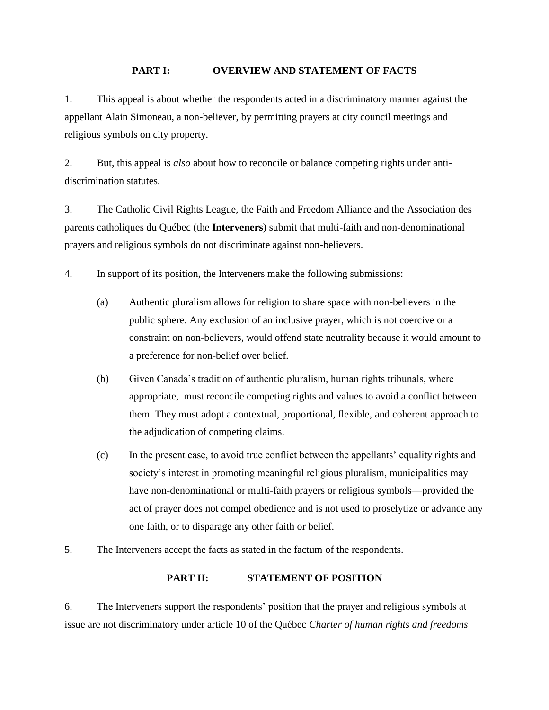#### **PART I: OVERVIEW AND STATEMENT OF FACTS**

<span id="page-5-0"></span>1. This appeal is about whether the respondents acted in a discriminatory manner against the appellant Alain Simoneau, a non-believer, by permitting prayers at city council meetings and religious symbols on city property.

2. But, this appeal is *also* about how to reconcile or balance competing rights under antidiscrimination statutes.

3. The Catholic Civil Rights League, the Faith and Freedom Alliance and the Association des parents catholiques du Québec (the **Interveners**) submit that multi-faith and non-denominational prayers and religious symbols do not discriminate against non-believers.

4. In support of its position, the Interveners make the following submissions:

- (a) Authentic pluralism allows for religion to share space with non-believers in the public sphere. Any exclusion of an inclusive prayer, which is not coercive or a constraint on non-believers, would offend state neutrality because it would amount to a preference for non-belief over belief.
- (b) Given Canada's tradition of authentic pluralism, human rights tribunals, where appropriate, must reconcile competing rights and values to avoid a conflict between them. They must adopt a contextual, proportional, flexible, and coherent approach to the adjudication of competing claims.
- (c) In the present case, to avoid true conflict between the appellants' equality rights and society's interest in promoting meaningful religious pluralism, municipalities may have non-denominational or multi-faith prayers or religious symbols—provided the act of prayer does not compel obedience and is not used to proselytize or advance any one faith, or to disparage any other faith or belief.
- <span id="page-5-1"></span>5. The Interveners accept the facts as stated in the factum of the respondents.

### **PART II: STATEMENT OF POSITION**

6. The Interveners support the respondents' position that the prayer and religious symbols at issue are not discriminatory under article 10 of the Québec *Charter of human rights and freedoms*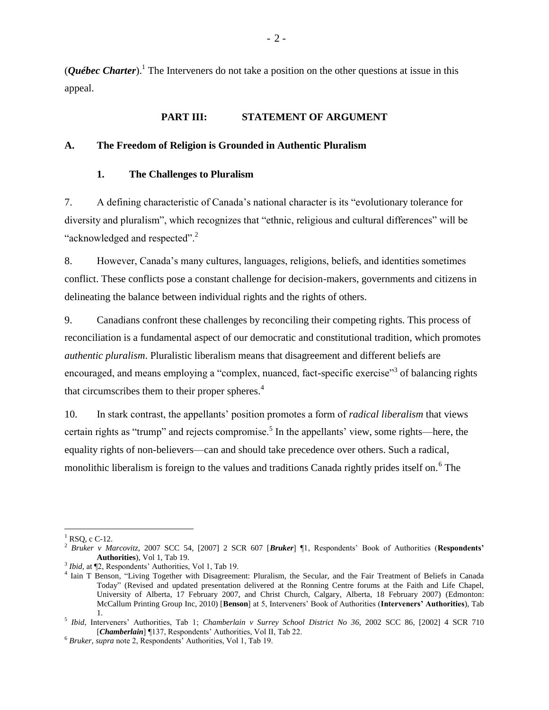(*Québec Charter*).<sup>1</sup> The Interveners do not take a position on the other questions at issue in this appeal.

#### **PART III: STATEMENT OF ARGUMENT**

#### <span id="page-6-2"></span><span id="page-6-1"></span><span id="page-6-0"></span>**A. The Freedom of Religion is Grounded in Authentic Pluralism**

#### **1. The Challenges to Pluralism**

7. A defining characteristic of Canada's national character is its "evolutionary tolerance for diversity and pluralism", which recognizes that "ethnic, religious and cultural differences" will be "acknowledged and respected".<sup>2</sup>

8. However, Canada's many cultures, languages, religions, beliefs, and identities sometimes conflict. These conflicts pose a constant challenge for decision-makers, governments and citizens in delineating the balance between individual rights and the rights of others.

9. Canadians confront these challenges by reconciling their competing rights. This process of reconciliation is a fundamental aspect of our democratic and constitutional tradition, which promotes *authentic pluralism*. Pluralistic liberalism means that disagreement and different beliefs are encouraged, and means employing a "complex, nuanced, fact-specific exercise"<sup>3</sup> of balancing rights that circumscribes them to their proper spheres. $4$ 

10. In stark contrast, the appellants' position promotes a form of *radical liberalism* that views certain rights as "trump" and rejects compromise.<sup>5</sup> In the appellants' view, some rights—here, the equality rights of non-believers—can and should take precedence over others. Such a radical, monolithic liberalism is foreign to the values and traditions Canada rightly prides itself on.<sup>6</sup> The

 $\overline{a}$  $<sup>1</sup>$  RSO, c C-12.</sup>

<sup>2</sup> *Bruker v Marcovitz*, 2007 SCC 54, [2007] 2 SCR 607 [*Bruker*] ¶1, Respondents' Book of Authorities (**Respondents' Authorities**), Vol 1, Tab 19.

<sup>3</sup> *Ibid,* at ¶2, Respondents' Authorities, Vol 1, Tab 19.

<sup>4</sup> Iain T Benson, "Living Together with Disagreement: Pluralism, the Secular, and the Fair Treatment of Beliefs in Canada Today" (Revised and updated presentation delivered at the Ronning Centre forums at the Faith and Life Chapel, University of Alberta, 17 February 2007, and Christ Church, Calgary, Alberta, 18 February 2007) (Edmonton: McCallum Printing Group Inc, 2010) [**Benson**] at 5, Interveners' Book of Authorities (**Interveners' Authorities**), Tab 1.

<sup>5</sup> *Ibid*, Interveners' Authorities, Tab 1; *Chamberlain v Surrey School District No 36*, 2002 SCC 86, [2002] 4 SCR 710 [*Chamberlain*] ¶137, Respondents' Authorities, Vol II, Tab 22.

<sup>6</sup> *Bruker, supra* note 2, Respondents' Authorities, Vol 1, Tab 19.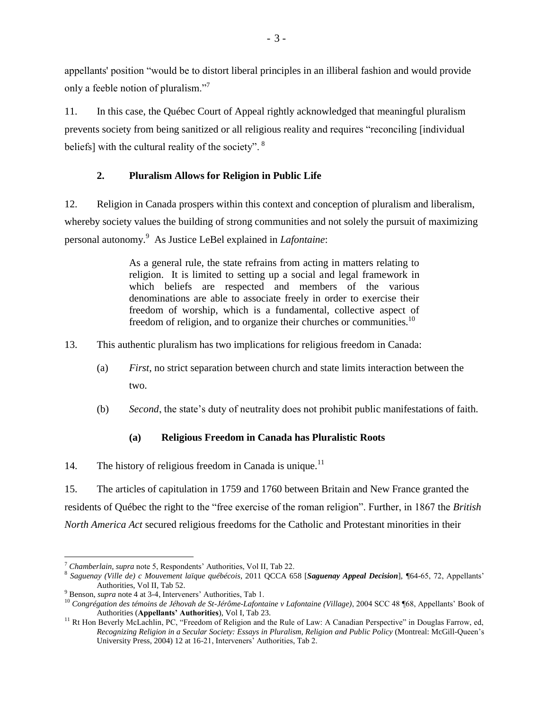appellants' position "would be to distort liberal principles in an illiberal fashion and would provide only a feeble notion of pluralism."<sup>7</sup>

11. In this case, the Québec Court of Appeal rightly acknowledged that meaningful pluralism prevents society from being sanitized or all religious reality and requires "reconciling [individual beliefs] with the cultural reality of the society". <sup>8</sup>

## **2. Pluralism Allows for Religion in Public Life**

<span id="page-7-0"></span>12. Religion in Canada prospers within this context and conception of pluralism and liberalism, whereby society values the building of strong communities and not solely the pursuit of maximizing personal autonomy.<sup>9</sup> As Justice LeBel explained in *Lafontaine*:

> As a general rule, the state refrains from acting in matters relating to religion. It is limited to setting up a social and legal framework in which beliefs are respected and members of the various denominations are able to associate freely in order to exercise their freedom of worship, which is a fundamental, collective aspect of freedom of religion, and to organize their churches or communities.<sup>10</sup>

13. This authentic pluralism has two implications for religious freedom in Canada:

- (a) *First*, no strict separation between church and state limits interaction between the two.
- (b) *Second*, the state's duty of neutrality does not prohibit public manifestations of faith.

## **(a) Religious Freedom in Canada has Pluralistic Roots**

<span id="page-7-1"></span>14. The history of religious freedom in Canada is unique.<sup>11</sup>

15. The articles of capitulation in 1759 and 1760 between Britain and New France granted the residents of Québec the right to the "free exercise of the roman religion". Further, in 1867 the *British North America Act* secured religious freedoms for the Catholic and Protestant minorities in their

<sup>7</sup> *Chamberlain, supra* note 5, Respondents' Authorities, Vol II, Tab 22.

<sup>8</sup> *Saguenay (Ville de) c Mouvement laïque québécois*, 2011 QCCA 658 [*Saguenay Appeal Decision*], *¶*64-65, 72, Appellants' Authorities, Vol II, Tab 52.

<sup>9</sup> Benson, *supra* note 4 at 3-4, Interveners' Authorities, Tab 1.

<sup>10</sup> *Congrégation des témoins de Jéhovah de St-Jérôme-Lafontaine v Lafontaine (Village)*, 2004 SCC 48 ¶68, Appellants' Book of Authorities (**Appellants' Authorities**), Vol I, Tab 23.

<sup>&</sup>lt;sup>11</sup> Rt Hon Beverly McLachlin, PC, "Freedom of Religion and the Rule of Law: A Canadian Perspective" in Douglas Farrow, ed, *Recognizing Religion in a Secular Society: Essays in Pluralism, Religion and Public Policy* (Montreal: McGill-Queen's University Press, 2004) 12 at 16-21, Interveners' Authorities, Tab 2.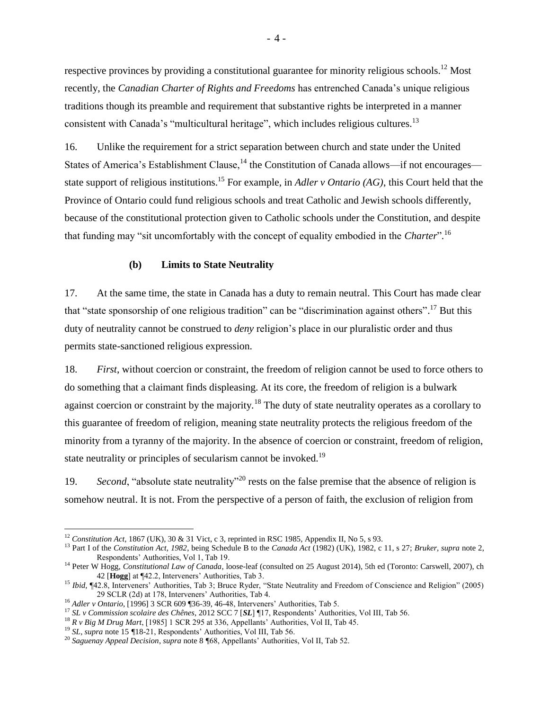respective provinces by providing a constitutional guarantee for minority religious schools.<sup>12</sup> Most recently, the *Canadian Charter of Rights and Freedoms* has entrenched Canada's unique religious traditions though its preamble and requirement that substantive rights be interpreted in a manner consistent with Canada's "multicultural heritage", which includes religious cultures.<sup>13</sup>

16. Unlike the requirement for a strict separation between church and state under the United States of America's Establishment Clause,  $^{14}$  the Constitution of Canada allows—if not encourages state support of religious institutions.<sup>15</sup> For example, in *Adler v Ontario (AG)*, this Court held that the Province of Ontario could fund religious schools and treat Catholic and Jewish schools differently, because of the constitutional protection given to Catholic schools under the Constitution, and despite that funding may "sit uncomfortably with the concept of equality embodied in the *Charter*"*.* 16

#### **(b) Limits to State Neutrality**

<span id="page-8-0"></span>17. At the same time, the state in Canada has a duty to remain neutral. This Court has made clear that "state sponsorship of one religious tradition" can be "discrimination against others".<sup>17</sup> But this duty of neutrality cannot be construed to *deny* religion's place in our pluralistic order and thus permits state-sanctioned religious expression.

18. *First*, without coercion or constraint, the freedom of religion cannot be used to force others to do something that a claimant finds displeasing. At its core, the freedom of religion is a bulwark against coercion or constraint by the majority.<sup>18</sup> The duty of state neutrality operates as a corollary to this guarantee of freedom of religion, meaning state neutrality protects the religious freedom of the minority from a tyranny of the majority. In the absence of coercion or constraint, freedom of religion, state neutrality or principles of secularism cannot be invoked.<sup>19</sup>

19. *Second*, "absolute state neutrality"<sup>20</sup> rests on the false premise that the absence of religion is somehow neutral. It is not. From the perspective of a person of faith, the exclusion of religion from

<sup>12</sup> *Constitution Act,* 1867 (UK), 30 & 31 Vict, c 3, reprinted in RSC 1985, Appendix II, No 5, s 93.

<sup>13</sup> Part I of the *Constitution Act, 1982*, being Schedule B to the *Canada Act* (1982) (UK), 1982, c 11, s 27; *Bruker, supra* note 2, Respondents' Authorities, Vol 1, Tab 19.

<sup>&</sup>lt;sup>14</sup> Peter W Hogg, *Constitutional Law of Canada*, loose-leaf (consulted on 25 August 2014), 5th ed (Toronto: Carswell, 2007), ch 42 [**Hogg**] at ¶42.2, Interveners' Authorities, Tab 3.

<sup>15</sup> *Ibid,* ¶42.8, Interveners' Authorities, Tab 3; Bruce Ryder, "State Neutrality and Freedom of Conscience and Religion" (2005) 29 SCLR (2d) at 178, Interveners' Authorities, Tab 4.

<sup>16</sup> *Adler v Ontario*, [1996] 3 SCR 609 ¶36-39, 46-48, Interveners' Authorities, Tab 5.

<sup>17</sup> *SL v Commission scolaire des Chênes*, 2012 SCC 7 [*SL*] ¶17, Respondents' Authorities, Vol III, Tab 56.

<sup>18</sup> *R v Big M Drug Mart*, [1985] 1 SCR 295 at 336, Appellants' Authorities, Vol II, Tab 45.

<sup>&</sup>lt;sup>19</sup> *SL*, *supra* note 15 *¶*18-21, Respondents' Authorities, Vol III, Tab 56.

<sup>20</sup> *Saguenay Appeal Decision*, *supra* note 8 *¶*68, Appellants' Authorities, Vol II, Tab 52.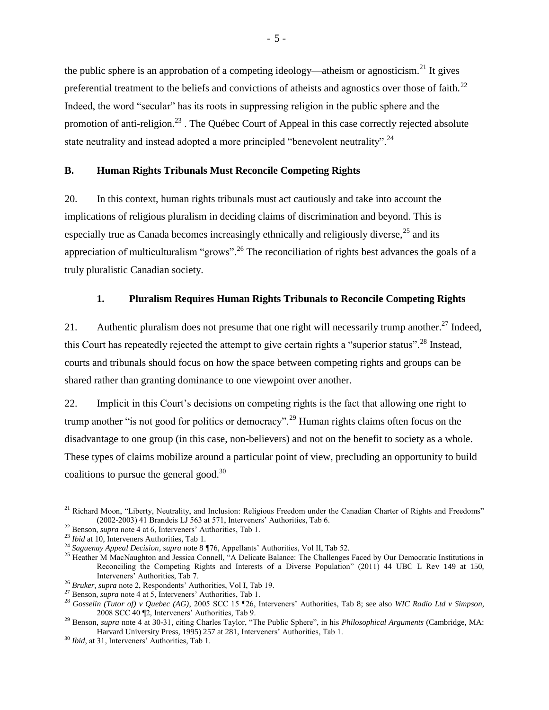the public sphere is an approbation of a competing ideology—atheism or agnosticism.<sup>21</sup> It gives preferential treatment to the beliefs and convictions of atheists and agnostics over those of faith.<sup>22</sup> Indeed, the word "secular" has its roots in suppressing religion in the public sphere and the promotion of anti-religion.<sup>23</sup>. The Québec Court of Appeal in this case correctly rejected absolute state neutrality and instead adopted a more principled "benevolent neutrality".<sup>24</sup>

#### <span id="page-9-0"></span>**B. Human Rights Tribunals Must Reconcile Competing Rights**

20. In this context, human rights tribunals must act cautiously and take into account the implications of religious pluralism in deciding claims of discrimination and beyond. This is especially true as Canada becomes increasingly ethnically and religiously diverse,  $25$  and its appreciation of multiculturalism "grows".<sup>26</sup> The reconciliation of rights best advances the goals of a truly pluralistic Canadian society.

#### **1. Pluralism Requires Human Rights Tribunals to Reconcile Competing Rights**

<span id="page-9-1"></span>21. Authentic pluralism does not presume that one right will necessarily trump another.<sup>27</sup> Indeed, this Court has repeatedly rejected the attempt to give certain rights a "superior status".<sup>28</sup> Instead, courts and tribunals should focus on how the space between competing rights and groups can be shared rather than granting dominance to one viewpoint over another.

22. Implicit in this Court's decisions on competing rights is the fact that allowing one right to trump another "is not good for politics or democracy".<sup>29</sup> Human rights claims often focus on the disadvantage to one group (in this case, non-believers) and not on the benefit to society as a whole. These types of claims mobilize around a particular point of view, precluding an opportunity to build coalitions to pursue the general good. $30$ 

<sup>&</sup>lt;sup>21</sup> Richard Moon, "Liberty, Neutrality, and Inclusion: Religious Freedom under the Canadian Charter of Rights and Freedoms" (2002-2003) 41 Brandeis LJ 563 at 571, Interveners' Authorities, Tab 6.

<sup>22</sup> Benson, *supra* note 4 at 6, Interveners' Authorities, Tab 1.

<sup>23</sup> *Ibid* at 10, Interveners Authorities, Tab 1.

<sup>24</sup> *Saguenay Appeal Decision*, *supra* note 8 *¶*76, Appellants' Authorities, Vol II, Tab 52.

<sup>&</sup>lt;sup>25</sup> Heather M MacNaughton and Jessica Connell, "A Delicate Balance: The Challenges Faced by Our Democratic Institutions in Reconciling the Competing Rights and Interests of a Diverse Population" (2011) 44 UBC L Rev 149 at 150, Interveners' Authorities, Tab 7.

<sup>26</sup> *Bruker, supra* note 2, Respondents' Authorities, Vol I, Tab 19.

<sup>27</sup> Benson, *supra* note 4 at 5, Interveners' Authorities, Tab 1.

<sup>28</sup> *Gosselin (Tutor of) v Quebec (AG)*, 2005 SCC 15 ¶26, Interveners' Authorities, Tab 8; see also *WIC Radio Ltd v Simpson*, 2008 SCC 40 ¶2, Interveners' Authorities, Tab 9.

<sup>29</sup> Benson, *supra* note 4 at 30-31, citing Charles Taylor, "The Public Sphere", in his *Philosophical Arguments* (Cambridge, MA: Harvard University Press, 1995) 257 at 281, Interveners' Authorities, Tab 1.

<sup>30</sup> *Ibid*, at 31, Interveners' Authorities, Tab 1.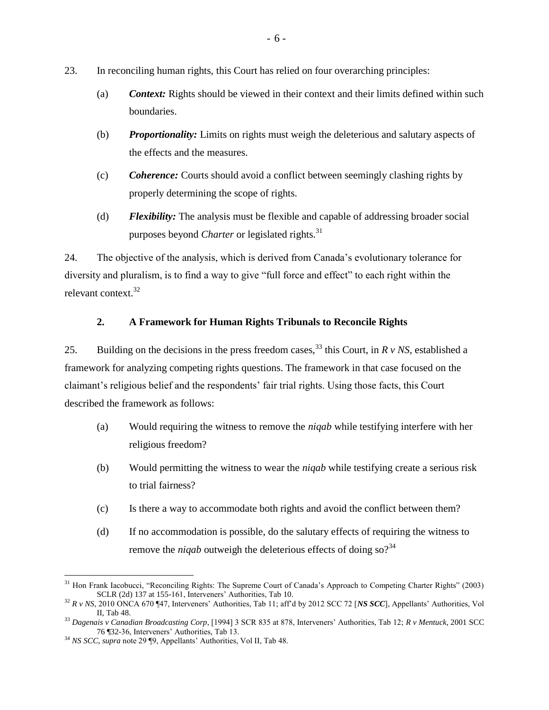- 23. In reconciling human rights, this Court has relied on four overarching principles:
	- (a) *Context:* Rights should be viewed in their context and their limits defined within such boundaries.
	- (b) *Proportionality:* Limits on rights must weigh the deleterious and salutary aspects of the effects and the measures.
	- (c) *Coherence:* Courts should avoid a conflict between seemingly clashing rights by properly determining the scope of rights.
	- (d) *Flexibility:* The analysis must be flexible and capable of addressing broader social purposes beyond *Charter* or legislated rights.<sup>31</sup>

24. The objective of the analysis, which is derived from Canada's evolutionary tolerance for diversity and pluralism, is to find a way to give "full force and effect" to each right within the relevant context.<sup>32</sup>

## **2. A Framework for Human Rights Tribunals to Reconcile Rights**

<span id="page-10-0"></span>25. Building on the decisions in the press freedom cases,  $33$  this Court, in *R v NS*, established a framework for analyzing competing rights questions. The framework in that case focused on the claimant's religious belief and the respondents' fair trial rights. Using those facts, this Court described the framework as follows:

- (a) Would requiring the witness to remove the *niqab* while testifying interfere with her religious freedom?
- (b) Would permitting the witness to wear the *niqab* while testifying create a serious risk to trial fairness?
- (c) Is there a way to accommodate both rights and avoid the conflict between them?
- (d) If no accommodation is possible, do the salutary effects of requiring the witness to remove the *niqab* outweigh the deleterious effects of doing so?<sup>34</sup>

 $\overline{a}$  $31$  Hon Frank Iacobucci, "Reconciling Rights: The Supreme Court of Canada's Approach to Competing Charter Rights" (2003) SCLR (2d) 137 at 155-161, Interveners' Authorities, Tab 10.

<sup>32</sup> *R v NS*, 2010 ONCA 670 ¶47, Interveners' Authorities, Tab 11; aff'd by 2012 SCC 72 [*NS SCC*], Appellants' Authorities, Vol II, Tab 48.

<sup>33</sup> *Dagenais v Canadian Broadcasting Corp*, [1994] 3 SCR 835 at 878, Interveners' Authorities, Tab 12; *R v Mentuck*, 2001 SCC 76 ¶32-36, Interveners' Authorities, Tab 13.

<sup>34</sup> *NS SCC, supra* note 29 ¶9, Appellants' Authorities, Vol II, Tab 48.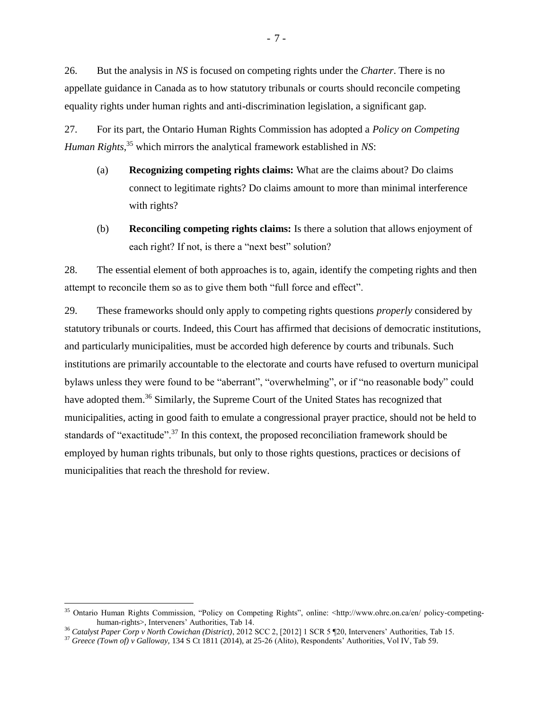26. But the analysis in *NS* is focused on competing rights under the *Charter*. There is no appellate guidance in Canada as to how statutory tribunals or courts should reconcile competing equality rights under human rights and anti-discrimination legislation, a significant gap.

27. For its part, the Ontario Human Rights Commission has adopted a *Policy on Competing Human Rights*, <sup>35</sup> which mirrors the analytical framework established in *NS*:

- (a) **Recognizing competing rights claims:** What are the claims about? Do claims connect to legitimate rights? Do claims amount to more than minimal interference with rights?
- (b) **Reconciling competing rights claims:** Is there a solution that allows enjoyment of each right? If not, is there a "next best" solution?

28. The essential element of both approaches is to, again, identify the competing rights and then attempt to reconcile them so as to give them both "full force and effect".

29. These frameworks should only apply to competing rights questions *properly* considered by statutory tribunals or courts. Indeed, this Court has affirmed that decisions of democratic institutions, and particularly municipalities, must be accorded high deference by courts and tribunals. Such institutions are primarily accountable to the electorate and courts have refused to overturn municipal bylaws unless they were found to be "aberrant", "overwhelming", or if "no reasonable body" could have adopted them.<sup>36</sup> Similarly, the Supreme Court of the United States has recognized that municipalities, acting in good faith to emulate a congressional prayer practice, should not be held to standards of "exactitude".<sup>37</sup> In this context, the proposed reconciliation framework should be employed by human rights tribunals, but only to those rights questions, practices or decisions of municipalities that reach the threshold for review.

<sup>35</sup> Ontario Human Rights Commission, "Policy on Competing Rights", online: <http://www.ohrc.on.ca/en/ policy-competinghuman-rights>, Interveners' Authorities, Tab 14.

<sup>36</sup> *Catalyst Paper Corp v North Cowichan (District)*, 2012 SCC 2, [2012] 1 SCR 5 ¶20, Interveners' Authorities, Tab 15.

<sup>37</sup> *Greece (Town of) v Galloway,* 134 S Ct 1811 (2014), at 25-26 (Alito), Respondents' Authorities, Vol IV, Tab 59.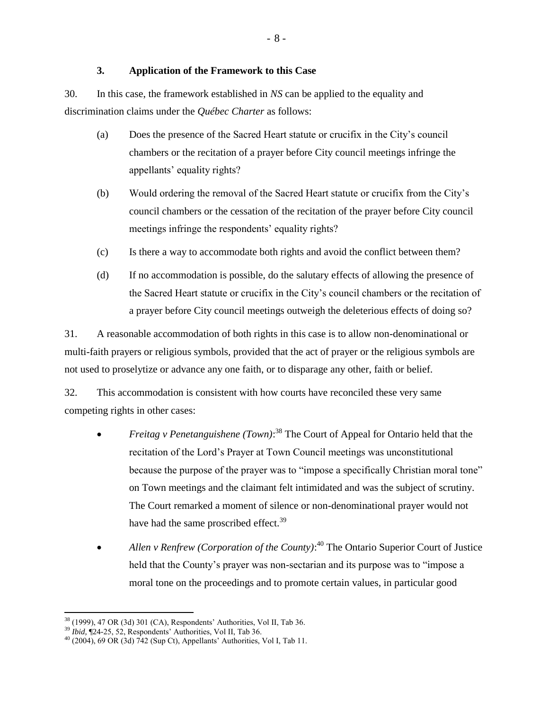### **3. Application of the Framework to this Case**

<span id="page-12-0"></span>30. In this case, the framework established in *NS* can be applied to the equality and discrimination claims under the *Québec Charter* as follows:

- (a) Does the presence of the Sacred Heart statute or crucifix in the City's council chambers or the recitation of a prayer before City council meetings infringe the appellants' equality rights?
- (b) Would ordering the removal of the Sacred Heart statute or crucifix from the City's council chambers or the cessation of the recitation of the prayer before City council meetings infringe the respondents' equality rights?
- (c) Is there a way to accommodate both rights and avoid the conflict between them?
- (d) If no accommodation is possible, do the salutary effects of allowing the presence of the Sacred Heart statute or crucifix in the City's council chambers or the recitation of a prayer before City council meetings outweigh the deleterious effects of doing so?

31. A reasonable accommodation of both rights in this case is to allow non-denominational or multi-faith prayers or religious symbols, provided that the act of prayer or the religious symbols are not used to proselytize or advance any one faith, or to disparage any other, faith or belief.

32. This accommodation is consistent with how courts have reconciled these very same competing rights in other cases:

- *Freitag v Penetanguishene* (*Town*):<sup>38</sup> The Court of Appeal for Ontario held that the recitation of the Lord's Prayer at Town Council meetings was unconstitutional because the purpose of the prayer was to "impose a specifically Christian moral tone" on Town meetings and the claimant felt intimidated and was the subject of scrutiny. The Court remarked a moment of silence or non-denominational prayer would not have had the same proscribed effect.<sup>39</sup>
- *Allen v Renfrew (Corporation of the County)*:<sup>40</sup> The Ontario Superior Court of Justice held that the County's prayer was non-sectarian and its purpose was to "impose a moral tone on the proceedings and to promote certain values, in particular good

 $38$  (1999), 47 OR (3d) 301 (CA), Respondents' Authorities, Vol II, Tab 36.

<sup>39</sup> *Ibid,* ¶24-25, 52, Respondents' Authorities, Vol II, Tab 36.

 $^{40}$  (2004), 69 OR (3d) 742 (Sup Ct), Appellants' Authorities, Vol I, Tab 11.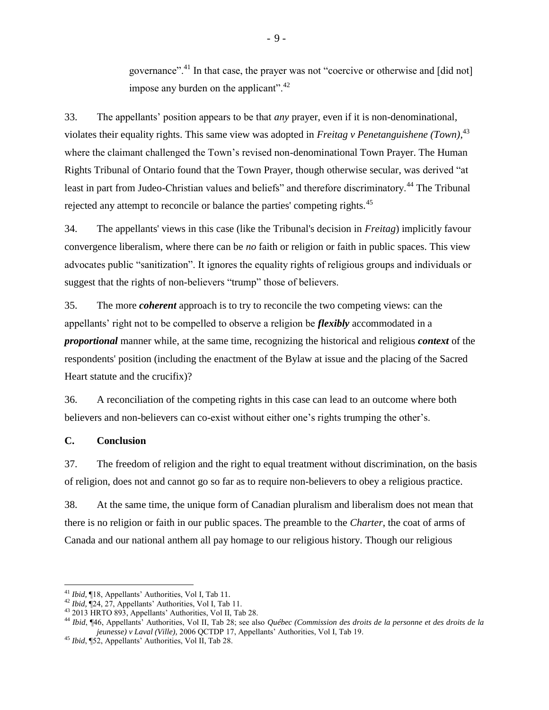governance".<sup>41</sup> In that case, the prayer was not "coercive or otherwise and [did not] impose any burden on the applicant". $42$ 

33. The appellants' position appears to be that *any* prayer, even if it is non-denominational, violates their equality rights. This same view was adopted in *Freitag v Penetanguishene (Town)*, 43 where the claimant challenged the Town's revised non-denominational Town Prayer. The Human Rights Tribunal of Ontario found that the Town Prayer, though otherwise secular, was derived "at least in part from Judeo-Christian values and beliefs" and therefore discriminatory.<sup>44</sup> The Tribunal rejected any attempt to reconcile or balance the parties' competing rights.<sup>45</sup>

34. The appellants' views in this case (like the Tribunal's decision in *Freitag*) implicitly favour convergence liberalism, where there can be *no* faith or religion or faith in public spaces. This view advocates public "sanitization". It ignores the equality rights of religious groups and individuals or suggest that the rights of non-believers "trump" those of believers.

35. The more *coherent* approach is to try to reconcile the two competing views: can the appellants' right not to be compelled to observe a religion be *flexibly* accommodated in a *proportional* manner while, at the same time, recognizing the historical and religious *context* of the respondents' position (including the enactment of the Bylaw at issue and the placing of the Sacred Heart statute and the crucifix)?

36. A reconciliation of the competing rights in this case can lead to an outcome where both believers and non-believers can co-exist without either one's rights trumping the other's.

### <span id="page-13-0"></span>**C. Conclusion**

 $\overline{a}$ 

37. The freedom of religion and the right to equal treatment without discrimination, on the basis of religion, does not and cannot go so far as to require non-believers to obey a religious practice.

38. At the same time, the unique form of Canadian pluralism and liberalism does not mean that there is no religion or faith in our public spaces. The preamble to the *Charter*, the coat of arms of Canada and our national anthem all pay homage to our religious history. Though our religious

<sup>41</sup> *Ibid,* ¶18, Appellants' Authorities, Vol I, Tab 11.

<sup>42</sup> *Ibid,* ¶24, 27, Appellants' Authorities, Vol I, Tab 11.

 $43$  2013 HRTO 893, Appellants' Authorities, Vol II, Tab 28.

<sup>44</sup> *Ibid*, ¶46, Appellants' Authorities, Vol II, Tab 28; see also *Québec (Commission des droits de la personne et des droits de la jeunesse) v Laval (Ville),* 2006 QCTDP 17, Appellants' Authorities, Vol I, Tab 19.

<sup>45</sup> *Ibid*, ¶52, Appellants' Authorities, Vol II, Tab 28.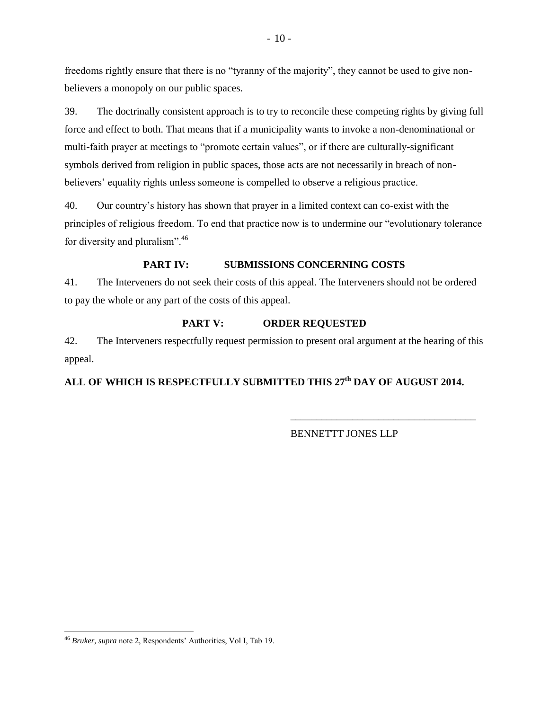freedoms rightly ensure that there is no "tyranny of the majority", they cannot be used to give nonbelievers a monopoly on our public spaces.

39. The doctrinally consistent approach is to try to reconcile these competing rights by giving full force and effect to both. That means that if a municipality wants to invoke a non-denominational or multi-faith prayer at meetings to "promote certain values", or if there are culturally-significant symbols derived from religion in public spaces, those acts are not necessarily in breach of nonbelievers' equality rights unless someone is compelled to observe a religious practice.

40. Our country's history has shown that prayer in a limited context can co-exist with the principles of religious freedom. To end that practice now is to undermine our "evolutionary tolerance for diversity and pluralism".<sup>46</sup>

## **PART IV: SUBMISSIONS CONCERNING COSTS**

<span id="page-14-0"></span>41. The Interveners do not seek their costs of this appeal. The Interveners should not be ordered to pay the whole or any part of the costs of this appeal.

### **PART V: ORDER REQUESTED**

<span id="page-14-1"></span>42. The Interveners respectfully request permission to present oral argument at the hearing of this appeal.

## **ALL OF WHICH IS RESPECTFULLY SUBMITTED THIS 27th DAY OF AUGUST 2014.**

BENNETTT JONES LLP

\_\_\_\_\_\_\_\_\_\_\_\_\_\_\_\_\_\_\_\_\_\_\_\_\_\_\_\_\_\_\_\_\_\_\_\_

 $\overline{a}$ <sup>46</sup> *Bruker, supra* note 2, Respondents' Authorities, Vol I, Tab 19.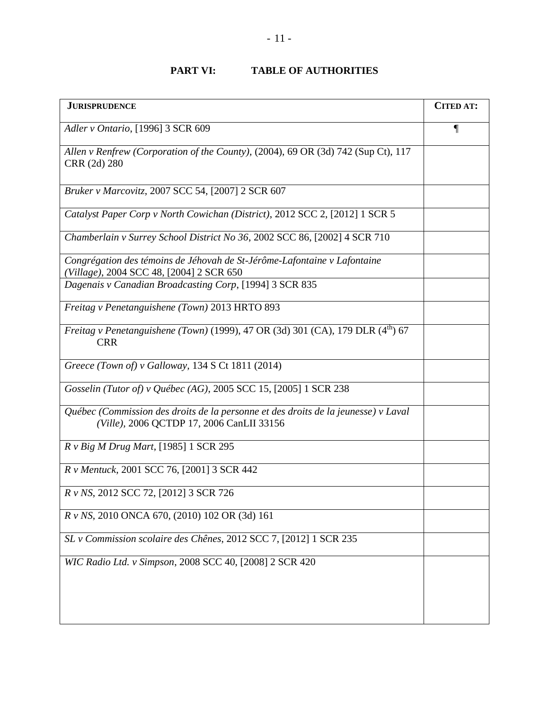## **PART VI: TABLE OF AUTHORITIES**

<span id="page-15-0"></span>

| <b>JURISPRUDENCE</b>                                                                                                            | <b>CITED AT:</b> |
|---------------------------------------------------------------------------------------------------------------------------------|------------------|
| Adler v Ontario, [1996] 3 SCR 609                                                                                               | 1                |
| Allen v Renfrew (Corporation of the County), (2004), 69 OR (3d) 742 (Sup Ct), 117<br>CRR (2d) 280                               |                  |
| Bruker v Marcovitz, 2007 SCC 54, [2007] 2 SCR 607                                                                               |                  |
| Catalyst Paper Corp v North Cowichan (District), 2012 SCC 2, [2012] 1 SCR 5                                                     |                  |
| Chamberlain v Surrey School District No 36, 2002 SCC 86, [2002] 4 SCR 710                                                       |                  |
| Congrégation des témoins de Jéhovah de St-Jérôme-Lafontaine v Lafontaine<br>(Village), 2004 SCC 48, [2004] 2 SCR 650            |                  |
| Dagenais v Canadian Broadcasting Corp, [1994] 3 SCR 835                                                                         |                  |
| Freitag v Penetanguishene (Town) 2013 HRTO 893                                                                                  |                  |
| <i>Freitag v Penetanguishene (Town)</i> (1999), 47 OR (3d) 301 (CA), 179 DLR $(4^{th})$ 67<br><b>CRR</b>                        |                  |
| Greece (Town of) v Galloway, 134 S Ct 1811 (2014)                                                                               |                  |
| Gosselin (Tutor of) v Québec (AG), 2005 SCC 15, [2005] 1 SCR 238                                                                |                  |
| Québec (Commission des droits de la personne et des droits de la jeunesse) v Laval<br>(Ville), 2006 QCTDP 17, 2006 CanLII 33156 |                  |
| R v Big M Drug Mart, [1985] 1 SCR 295                                                                                           |                  |
| R v Mentuck, 2001 SCC 76, [2001] 3 SCR 442                                                                                      |                  |
| R v NS, 2012 SCC 72, [2012] 3 SCR 726                                                                                           |                  |
| R v NS, 2010 ONCA 670, (2010) 102 OR (3d) 161                                                                                   |                  |
| SL v Commission scolaire des Chênes, 2012 SCC 7, [2012] 1 SCR 235                                                               |                  |
| WIC Radio Ltd. v Simpson, 2008 SCC 40, [2008] 2 SCR 420                                                                         |                  |
|                                                                                                                                 |                  |
|                                                                                                                                 |                  |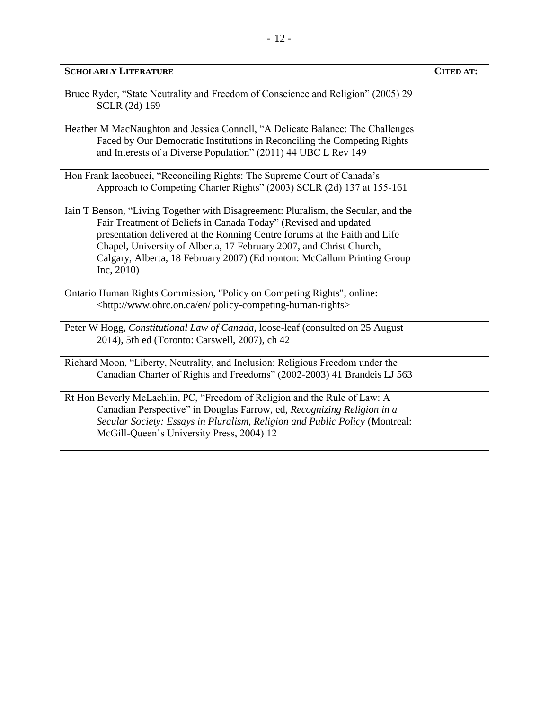| <b>SCHOLARLY LITERATURE</b>                                                                                                                                                                                                                                                                                                                                                                       | <b>CITED AT:</b> |
|---------------------------------------------------------------------------------------------------------------------------------------------------------------------------------------------------------------------------------------------------------------------------------------------------------------------------------------------------------------------------------------------------|------------------|
| Bruce Ryder, "State Neutrality and Freedom of Conscience and Religion" (2005) 29<br>SCLR (2d) 169                                                                                                                                                                                                                                                                                                 |                  |
| Heather M MacNaughton and Jessica Connell, "A Delicate Balance: The Challenges<br>Faced by Our Democratic Institutions in Reconciling the Competing Rights<br>and Interests of a Diverse Population" (2011) 44 UBC L Rev 149                                                                                                                                                                      |                  |
| Hon Frank Iacobucci, "Reconciling Rights: The Supreme Court of Canada's<br>Approach to Competing Charter Rights" (2003) SCLR (2d) 137 at 155-161                                                                                                                                                                                                                                                  |                  |
| Iain T Benson, "Living Together with Disagreement: Pluralism, the Secular, and the<br>Fair Treatment of Beliefs in Canada Today" (Revised and updated<br>presentation delivered at the Ronning Centre forums at the Faith and Life<br>Chapel, University of Alberta, 17 February 2007, and Christ Church,<br>Calgary, Alberta, 18 February 2007) (Edmonton: McCallum Printing Group<br>Inc, 2010) |                  |
| Ontario Human Rights Commission, "Policy on Competing Rights", online:<br><http: en="" policy-competing-human-rights="" www.ohrc.on.ca=""></http:>                                                                                                                                                                                                                                                |                  |
| Peter W Hogg, Constitutional Law of Canada, loose-leaf (consulted on 25 August<br>2014), 5th ed (Toronto: Carswell, 2007), ch 42                                                                                                                                                                                                                                                                  |                  |
| Richard Moon, "Liberty, Neutrality, and Inclusion: Religious Freedom under the<br>Canadian Charter of Rights and Freedoms" (2002-2003) 41 Brandeis LJ 563                                                                                                                                                                                                                                         |                  |
| Rt Hon Beverly McLachlin, PC, "Freedom of Religion and the Rule of Law: A<br>Canadian Perspective" in Douglas Farrow, ed, Recognizing Religion in a<br>Secular Society: Essays in Pluralism, Religion and Public Policy (Montreal:<br>McGill-Queen's University Press, 2004) 12                                                                                                                   |                  |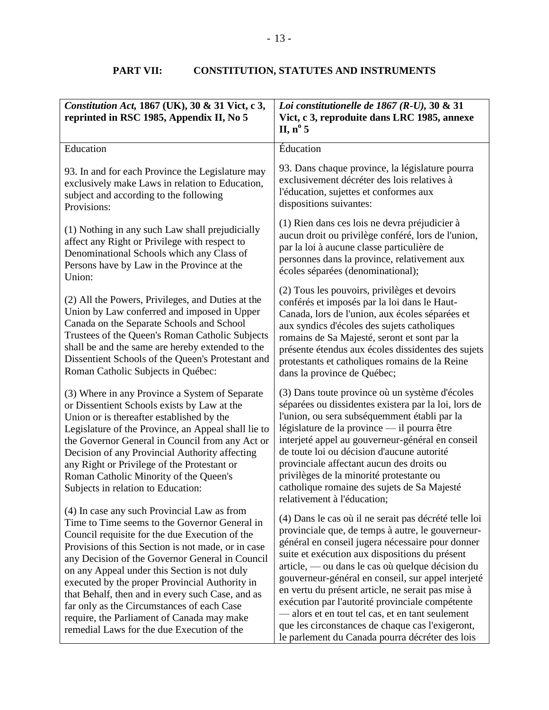## **PART VII: CONSTITUTION, STATUTES AND INSTRUMENTS**

<span id="page-17-0"></span>

| Constitution Act, 1867 (UK), 30 & 31 Vict, c 3,<br>reprinted in RSC 1985, Appendix II, No 5                                                                                                                                                                                                                                                                                                                                                                                                                                                             | Loi constitutionelle de 1867 (R-U), 30 & 31<br>Vict, c 3, reproduite dans LRC 1985, annexe<br>II, $n^{\circ}$ 5                                                                                                                                                                                                                                                                                                                                                                                                                                                                              |
|---------------------------------------------------------------------------------------------------------------------------------------------------------------------------------------------------------------------------------------------------------------------------------------------------------------------------------------------------------------------------------------------------------------------------------------------------------------------------------------------------------------------------------------------------------|----------------------------------------------------------------------------------------------------------------------------------------------------------------------------------------------------------------------------------------------------------------------------------------------------------------------------------------------------------------------------------------------------------------------------------------------------------------------------------------------------------------------------------------------------------------------------------------------|
| Education                                                                                                                                                                                                                                                                                                                                                                                                                                                                                                                                               | Éducation                                                                                                                                                                                                                                                                                                                                                                                                                                                                                                                                                                                    |
| 93. In and for each Province the Legislature may<br>exclusively make Laws in relation to Education,<br>subject and according to the following<br>Provisions:                                                                                                                                                                                                                                                                                                                                                                                            | 93. Dans chaque province, la législature pourra<br>exclusivement décréter des lois relatives à<br>l'éducation, sujettes et conformes aux<br>dispositions suivantes:                                                                                                                                                                                                                                                                                                                                                                                                                          |
| (1) Nothing in any such Law shall prejudicially<br>affect any Right or Privilege with respect to<br>Denominational Schools which any Class of<br>Persons have by Law in the Province at the<br>Union:                                                                                                                                                                                                                                                                                                                                                   | (1) Rien dans ces lois ne devra préjudicier à<br>aucun droit ou privilège conféré, lors de l'union,<br>par la loi à aucune classe particulière de<br>personnes dans la province, relativement aux<br>écoles séparées (denominational);                                                                                                                                                                                                                                                                                                                                                       |
| (2) All the Powers, Privileges, and Duties at the<br>Union by Law conferred and imposed in Upper<br>Canada on the Separate Schools and School<br>Trustees of the Queen's Roman Catholic Subjects<br>shall be and the same are hereby extended to the<br>Dissentient Schools of the Queen's Protestant and<br>Roman Catholic Subjects in Québec:                                                                                                                                                                                                         | (2) Tous les pouvoirs, privilèges et devoirs<br>conférés et imposés par la loi dans le Haut-<br>Canada, lors de l'union, aux écoles séparées et<br>aux syndics d'écoles des sujets catholiques<br>romains de Sa Majesté, seront et sont par la<br>présente étendus aux écoles dissidentes des sujets<br>protestants et catholiques romains de la Reine<br>dans la province de Québec;                                                                                                                                                                                                        |
| (3) Where in any Province a System of Separate<br>or Dissentient Schools exists by Law at the<br>Union or is thereafter established by the<br>Legislature of the Province, an Appeal shall lie to<br>the Governor General in Council from any Act or<br>Decision of any Provincial Authority affecting<br>any Right or Privilege of the Protestant or<br>Roman Catholic Minority of the Queen's<br>Subjects in relation to Education:                                                                                                                   | (3) Dans toute province où un système d'écoles<br>séparées ou dissidentes existera par la loi, lors de<br>l'union, ou sera subséquemment établi par la<br>législature de la province — il pourra être<br>interjeté appel au gouverneur-général en conseil<br>de toute loi ou décision d'aucune autorité<br>provinciale affectant aucun des droits ou<br>privilèges de la minorité protestante ou<br>catholique romaine des sujets de Sa Majesté<br>relativement à l'éducation;                                                                                                               |
| (4) In case any such Provincial Law as from<br>Time to Time seems to the Governor General in<br>Council requisite for the due Execution of the<br>Provisions of this Section is not made, or in case<br>any Decision of the Governor General in Council<br>on any Appeal under this Section is not duly<br>executed by the proper Provincial Authority in<br>that Behalf, then and in every such Case, and as<br>far only as the Circumstances of each Case<br>require, the Parliament of Canada may make<br>remedial Laws for the due Execution of the | (4) Dans le cas où il ne serait pas décrété telle loi<br>provinciale que, de temps à autre, le gouverneur-<br>général en conseil jugera nécessaire pour donner<br>suite et exécution aux dispositions du présent<br>article, — ou dans le cas où quelque décision du<br>gouverneur-général en conseil, sur appel interjeté<br>en vertu du présent article, ne serait pas mise à<br>exécution par l'autorité provinciale compétente<br>-alors et en tout tel cas, et en tant seulement<br>que les circonstances de chaque cas l'exigeront,<br>le parlement du Canada pourra décréter des lois |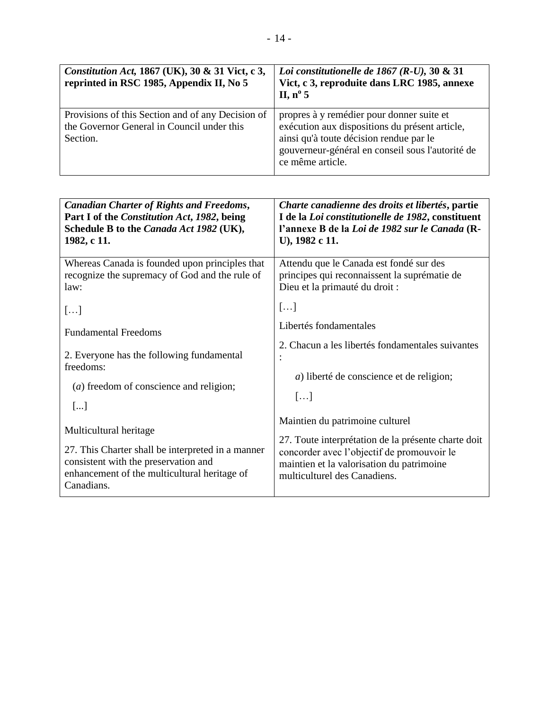| Constitution Act, 1867 (UK), 30 & 31 Vict, c 3,<br>reprinted in RSC 1985, Appendix II, No 5                 | Loi constitutionelle de 1867 (R-U), 30 $\&$ 31<br>Vict, c 3, reproduite dans LRC 1985, annexe<br>II, $n^{\circ}$ 5                                                                                             |
|-------------------------------------------------------------------------------------------------------------|----------------------------------------------------------------------------------------------------------------------------------------------------------------------------------------------------------------|
| Provisions of this Section and of any Decision of<br>the Governor General in Council under this<br>Section. | propres à y remédier pour donner suite et<br>exécution aux dispositions du présent article,<br>ainsi qu'à toute décision rendue par le<br>gouverneur-général en conseil sous l'autorité de<br>ce même article. |

| <b>Canadian Charter of Rights and Freedoms,</b><br>Part I of the Constitution Act, 1982, being<br>Schedule B to the Canada Act 1982 (UK),<br>1982, c 11. | Charte canadienne des droits et libertés, partie<br>I de la Loi constitutionelle de 1982, constituent<br>l'annexe B de la Loi de 1982 sur le Canada (R-<br>U), 1982 c 11.      |
|----------------------------------------------------------------------------------------------------------------------------------------------------------|--------------------------------------------------------------------------------------------------------------------------------------------------------------------------------|
| Whereas Canada is founded upon principles that<br>recognize the supremacy of God and the rule of<br>law:                                                 | Attendu que le Canada est fondé sur des<br>principes qui reconnaissent la suprématie de<br>Dieu et la primauté du droit :                                                      |
| []                                                                                                                                                       | []                                                                                                                                                                             |
| <b>Fundamental Freedoms</b>                                                                                                                              | Libertés fondamentales                                                                                                                                                         |
| 2. Everyone has the following fundamental<br>freedoms:                                                                                                   | 2. Chacun a les libertés fondamentales suivantes<br>$\cdot$                                                                                                                    |
| (a) freedom of conscience and religion;                                                                                                                  | <i>a</i> ) liberté de conscience et de religion;                                                                                                                               |
| []                                                                                                                                                       | $\left[\ldots\right]$                                                                                                                                                          |
| Multicultural heritage                                                                                                                                   | Maintien du patrimoine culturel                                                                                                                                                |
| 27. This Charter shall be interpreted in a manner<br>consistent with the preservation and<br>enhancement of the multicultural heritage of<br>Canadians.  | 27. Toute interprétation de la présente charte doit<br>concorder avec l'objectif de promouvoir le<br>maintien et la valorisation du patrimoine<br>multiculturel des Canadiens. |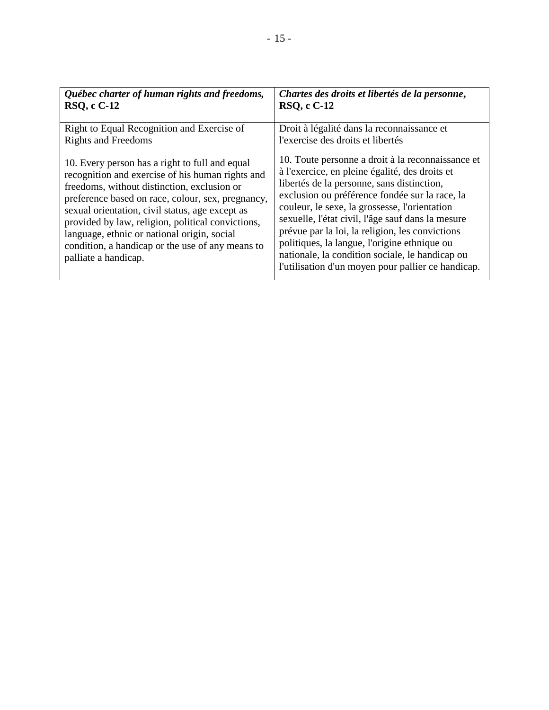| Québec charter of human rights and freedoms,                                                                                                                                                                                                                                                                                                                                                                                                                                                                          | Chartes des droits et libertés de la personne,                                                                                                                                                                                                                                                                                                                                                                                                                                                                                                                                                           |
|-----------------------------------------------------------------------------------------------------------------------------------------------------------------------------------------------------------------------------------------------------------------------------------------------------------------------------------------------------------------------------------------------------------------------------------------------------------------------------------------------------------------------|----------------------------------------------------------------------------------------------------------------------------------------------------------------------------------------------------------------------------------------------------------------------------------------------------------------------------------------------------------------------------------------------------------------------------------------------------------------------------------------------------------------------------------------------------------------------------------------------------------|
| <b>RSO, c C-12</b>                                                                                                                                                                                                                                                                                                                                                                                                                                                                                                    | <b>RSQ, c C-12</b>                                                                                                                                                                                                                                                                                                                                                                                                                                                                                                                                                                                       |
| Right to Equal Recognition and Exercise of<br><b>Rights and Freedoms</b><br>10. Every person has a right to full and equal<br>recognition and exercise of his human rights and<br>freedoms, without distinction, exclusion or<br>preference based on race, colour, sex, pregnancy,<br>sexual orientation, civil status, age except as<br>provided by law, religion, political convictions,<br>language, ethnic or national origin, social<br>condition, a handicap or the use of any means to<br>palliate a handicap. | Droit à légalité dans la reconnaissance et<br>l'exercise des droits et libertés<br>10. Toute personne a droit à la reconnaissance et<br>à l'exercice, en pleine égalité, des droits et<br>libertés de la personne, sans distinction,<br>exclusion ou préférence fondée sur la race, la<br>couleur, le sexe, la grossesse, l'orientation<br>sexuelle, l'état civil, l'âge sauf dans la mesure<br>prévue par la loi, la religion, les convictions<br>politiques, la langue, l'origine ethnique ou<br>nationale, la condition sociale, le handicap ou<br>l'utilisation d'un moyen pour pallier ce handicap. |